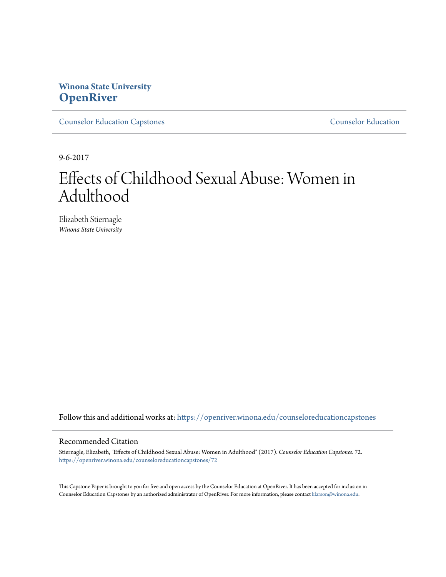# **Winona State University [OpenRiver](https://openriver.winona.edu?utm_source=openriver.winona.edu%2Fcounseloreducationcapstones%2F72&utm_medium=PDF&utm_campaign=PDFCoverPages)**

[Counselor Education Capstones](https://openriver.winona.edu/counseloreducationcapstones?utm_source=openriver.winona.edu%2Fcounseloreducationcapstones%2F72&utm_medium=PDF&utm_campaign=PDFCoverPages) [Counselor Education](https://openriver.winona.edu/counseloreducation?utm_source=openriver.winona.edu%2Fcounseloreducationcapstones%2F72&utm_medium=PDF&utm_campaign=PDFCoverPages)

9-6-2017

# Effects of Childhood Sexual Abuse: Women in Adulthood

Elizabeth Stiernagle *Winona State University*

Follow this and additional works at: [https://openriver.winona.edu/counseloreducationcapstones](https://openriver.winona.edu/counseloreducationcapstones?utm_source=openriver.winona.edu%2Fcounseloreducationcapstones%2F72&utm_medium=PDF&utm_campaign=PDFCoverPages)

### Recommended Citation

Stiernagle, Elizabeth, "Effects of Childhood Sexual Abuse: Women in Adulthood" (2017). *Counselor Education Capstones*. 72. [https://openriver.winona.edu/counseloreducationcapstones/72](https://openriver.winona.edu/counseloreducationcapstones/72?utm_source=openriver.winona.edu%2Fcounseloreducationcapstones%2F72&utm_medium=PDF&utm_campaign=PDFCoverPages)

This Capstone Paper is brought to you for free and open access by the Counselor Education at OpenRiver. It has been accepted for inclusion in Counselor Education Capstones by an authorized administrator of OpenRiver. For more information, please contact [klarson@winona.edu](mailto:klarson@winona.edu).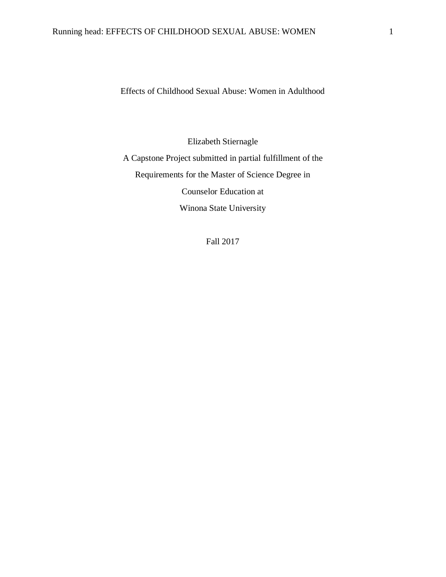Effects of Childhood Sexual Abuse: Women in Adulthood

Elizabeth Stiernagle A Capstone Project submitted in partial fulfillment of the Requirements for the Master of Science Degree in Counselor Education at Winona State University

Fall 2017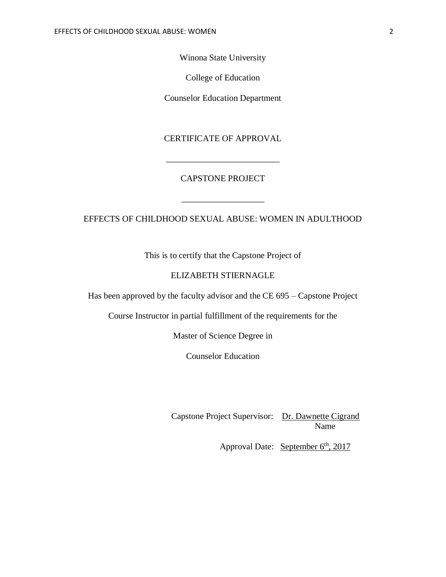Winona State University

College of Education

Counselor Education Department

CERTIFICATE OF APPROVAL

# CAPSTONE PROJECT

\_\_\_\_\_\_\_\_\_\_\_\_\_\_\_\_\_\_\_

\_\_\_\_\_\_\_\_\_\_\_\_\_\_\_\_\_\_\_\_\_\_\_\_\_\_

# EFFECTS OF CHILDHOOD SEXUAL ABUSE: WOMEN IN ADULTHOOD

This is to certify that the Capstone Project of

# ELIZABETH STIERNAGLE

Has been approved by the faculty advisor and the CE 695 – Capstone Project

Course Instructor in partial fulfillment of the requirements for the

Master of Science Degree in

Counselor Education

Capstone Project Supervisor: Dr. Dawnette Cigrand Name

Approval Date: September 6<sup>th</sup>, 2017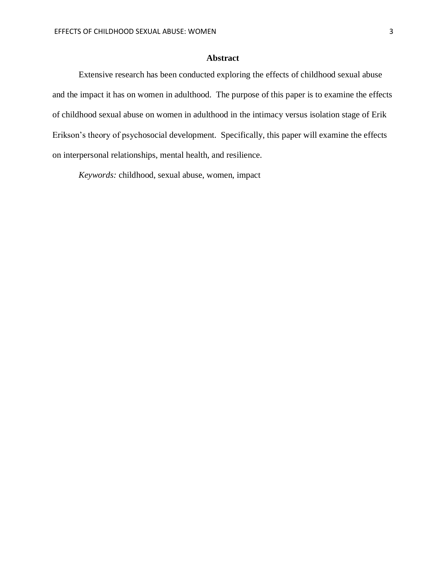## **Abstract**

Extensive research has been conducted exploring the effects of childhood sexual abuse and the impact it has on women in adulthood. The purpose of this paper is to examine the effects of childhood sexual abuse on women in adulthood in the intimacy versus isolation stage of Erik Erikson's theory of psychosocial development. Specifically, this paper will examine the effects on interpersonal relationships, mental health, and resilience.

*Keywords:* childhood, sexual abuse, women, impact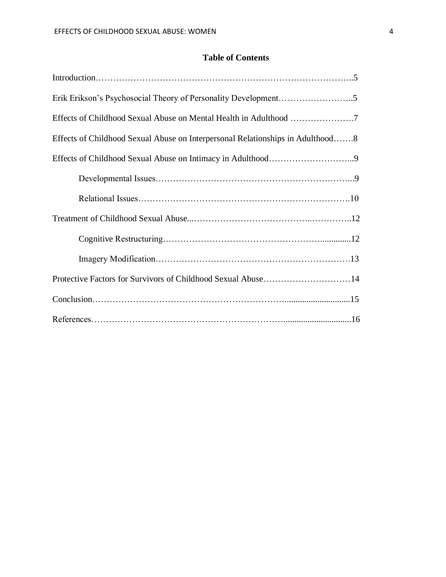# **Table of Contents**

| Effects of Childhood Sexual Abuse on Interpersonal Relationships in Adulthood8 |  |
|--------------------------------------------------------------------------------|--|
|                                                                                |  |
|                                                                                |  |
|                                                                                |  |
|                                                                                |  |
|                                                                                |  |
|                                                                                |  |
| Protective Factors for Survivors of Childhood Sexual Abuse14                   |  |
|                                                                                |  |
|                                                                                |  |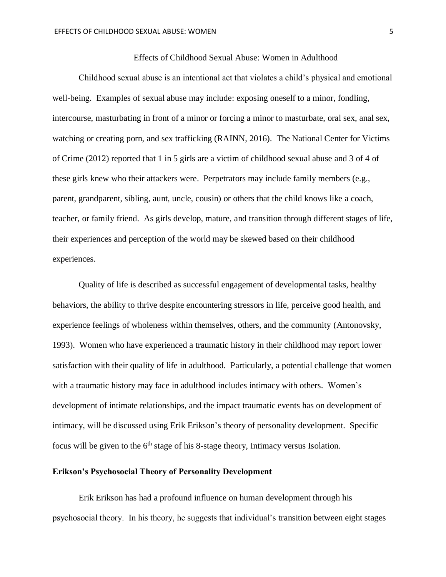## Effects of Childhood Sexual Abuse: Women in Adulthood

Childhood sexual abuse is an intentional act that violates a child's physical and emotional well-being. Examples of sexual abuse may include: exposing oneself to a minor, fondling, intercourse, masturbating in front of a minor or forcing a minor to masturbate, oral sex, anal sex, watching or creating porn, and sex trafficking (RAINN, 2016). The National Center for Victims of Crime (2012) reported that 1 in 5 girls are a victim of childhood sexual abuse and 3 of 4 of these girls knew who their attackers were. Perpetrators may include family members (e.g., parent, grandparent, sibling, aunt, uncle, cousin) or others that the child knows like a coach, teacher, or family friend. As girls develop, mature, and transition through different stages of life, their experiences and perception of the world may be skewed based on their childhood experiences.

Quality of life is described as successful engagement of developmental tasks, healthy behaviors, the ability to thrive despite encountering stressors in life, perceive good health, and experience feelings of wholeness within themselves, others, and the community (Antonovsky, 1993). Women who have experienced a traumatic history in their childhood may report lower satisfaction with their quality of life in adulthood. Particularly, a potential challenge that women with a traumatic history may face in adulthood includes intimacy with others. Women's development of intimate relationships, and the impact traumatic events has on development of intimacy, will be discussed using Erik Erikson's theory of personality development. Specific focus will be given to the  $6<sup>th</sup>$  stage of his 8-stage theory, Intimacy versus Isolation.

## **Erikson's Psychosocial Theory of Personality Development**

Erik Erikson has had a profound influence on human development through his psychosocial theory. In his theory, he suggests that individual's transition between eight stages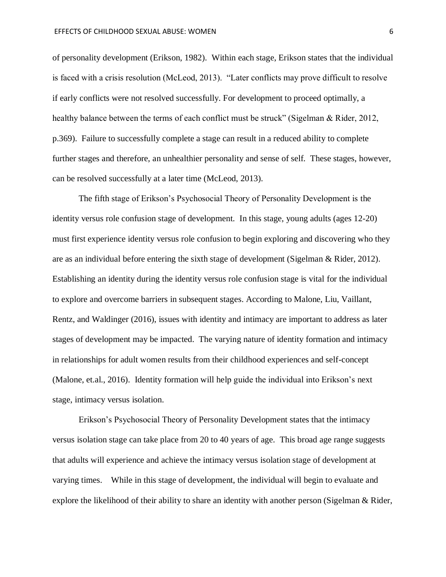of personality development (Erikson, 1982). Within each stage, Erikson states that the individual is faced with a crisis resolution (McLeod, 2013). "Later conflicts may prove difficult to resolve if early conflicts were not resolved successfully. For development to proceed optimally, a healthy balance between the terms of each conflict must be struck" (Sigelman & Rider, 2012, p.369). Failure to successfully complete a stage can result in a reduced ability to complete further stages and therefore, an unhealthier personality and sense of self. These stages, however, can be resolved successfully at a later time (McLeod, 2013).

The fifth stage of Erikson's Psychosocial Theory of Personality Development is the identity versus role confusion stage of development. In this stage, young adults (ages 12-20) must first experience identity versus role confusion to begin exploring and discovering who they are as an individual before entering the sixth stage of development (Sigelman & Rider, 2012). Establishing an identity during the identity versus role confusion stage is vital for the individual to explore and overcome barriers in subsequent stages. According to Malone, Liu, Vaillant, Rentz, and Waldinger (2016), issues with identity and intimacy are important to address as later stages of development may be impacted. The varying nature of identity formation and intimacy in relationships for adult women results from their childhood experiences and self-concept (Malone, et.al., 2016). Identity formation will help guide the individual into Erikson's next stage, intimacy versus isolation.

Erikson's Psychosocial Theory of Personality Development states that the intimacy versus isolation stage can take place from 20 to 40 years of age. This broad age range suggests that adults will experience and achieve the intimacy versus isolation stage of development at varying times. While in this stage of development, the individual will begin to evaluate and explore the likelihood of their ability to share an identity with another person (Sigelman & Rider,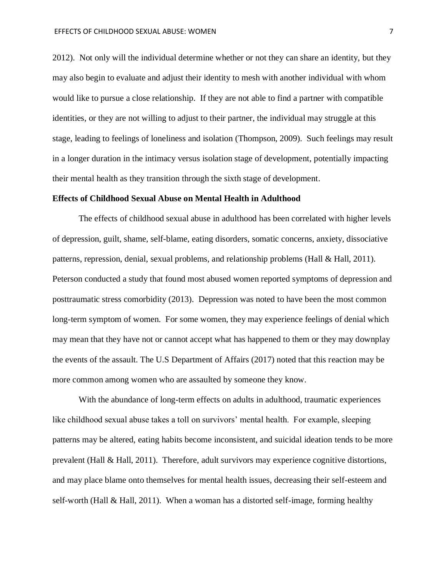2012). Not only will the individual determine whether or not they can share an identity, but they may also begin to evaluate and adjust their identity to mesh with another individual with whom would like to pursue a close relationship. If they are not able to find a partner with compatible identities, or they are not willing to adjust to their partner, the individual may struggle at this stage, leading to feelings of loneliness and isolation (Thompson, 2009). Such feelings may result in a longer duration in the intimacy versus isolation stage of development, potentially impacting their mental health as they transition through the sixth stage of development.

#### **Effects of Childhood Sexual Abuse on Mental Health in Adulthood**

The effects of childhood sexual abuse in adulthood has been correlated with higher levels of depression, guilt, shame, self-blame, eating disorders, somatic concerns, anxiety, dissociative patterns, repression, denial, sexual problems, and relationship problems (Hall & Hall, 2011). Peterson conducted a study that found most abused women reported symptoms of depression and posttraumatic stress comorbidity (2013). Depression was noted to have been the most common long-term symptom of women. For some women, they may experience feelings of denial which may mean that they have not or cannot accept what has happened to them or they may downplay the events of the assault. The U.S Department of Affairs (2017) noted that this reaction may be more common among women who are assaulted by someone they know.

With the abundance of long-term effects on adults in adulthood, traumatic experiences like childhood sexual abuse takes a toll on survivors' mental health. For example, sleeping patterns may be altered, eating habits become inconsistent, and suicidal ideation tends to be more prevalent (Hall & Hall, 2011). Therefore, adult survivors may experience cognitive distortions, and may place blame onto themselves for mental health issues, decreasing their self-esteem and self-worth (Hall & Hall, 2011). When a woman has a distorted self-image, forming healthy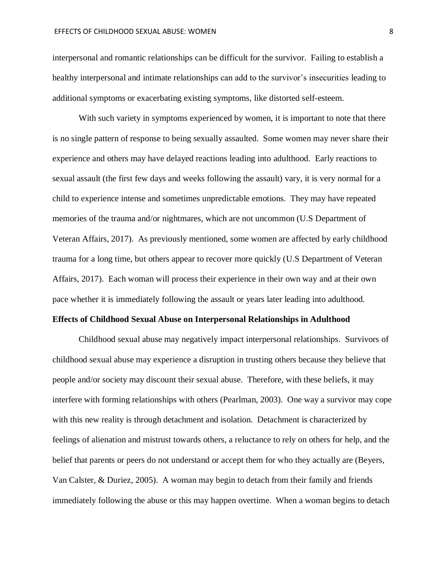interpersonal and romantic relationships can be difficult for the survivor. Failing to establish a healthy interpersonal and intimate relationships can add to the survivor's insecurities leading to additional symptoms or exacerbating existing symptoms, like distorted self-esteem.

With such variety in symptoms experienced by women, it is important to note that there is no single pattern of response to being sexually assaulted. Some women may never share their experience and others may have delayed reactions leading into adulthood. Early reactions to sexual assault (the first few days and weeks following the assault) vary, it is very normal for a child to experience intense and sometimes unpredictable emotions. They may have repeated memories of the trauma and/or nightmares, which are not uncommon (U.S Department of Veteran Affairs, 2017). As previously mentioned, some women are affected by early childhood trauma for a long time, but others appear to recover more quickly (U.S Department of Veteran Affairs, 2017). Each woman will process their experience in their own way and at their own pace whether it is immediately following the assault or years later leading into adulthood.

#### **Effects of Childhood Sexual Abuse on Interpersonal Relationships in Adulthood**

Childhood sexual abuse may negatively impact interpersonal relationships. Survivors of childhood sexual abuse may experience a disruption in trusting others because they believe that people and/or society may discount their sexual abuse. Therefore, with these beliefs, it may interfere with forming relationships with others (Pearlman, 2003). One way a survivor may cope with this new reality is through detachment and isolation. Detachment is characterized by feelings of alienation and mistrust towards others, a reluctance to rely on others for help, and the belief that parents or peers do not understand or accept them for who they actually are (Beyers, Van Calster, & Duriez, 2005). A woman may begin to detach from their family and friends immediately following the abuse or this may happen overtime. When a woman begins to detach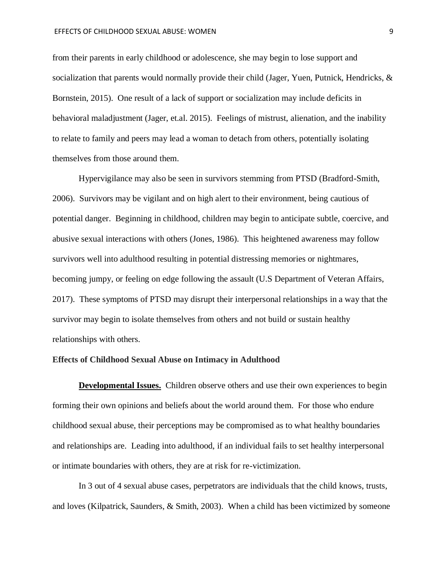from their parents in early childhood or adolescence, she may begin to lose support and socialization that parents would normally provide their child (Jager, Yuen, Putnick, Hendricks, & Bornstein, 2015). One result of a lack of support or socialization may include deficits in behavioral maladjustment (Jager, et.al. 2015). Feelings of mistrust, alienation, and the inability to relate to family and peers may lead a woman to detach from others, potentially isolating themselves from those around them.

Hypervigilance may also be seen in survivors stemming from PTSD (Bradford-Smith, 2006). Survivors may be vigilant and on high alert to their environment, being cautious of potential danger. Beginning in childhood, children may begin to anticipate subtle, coercive, and abusive sexual interactions with others (Jones, 1986). This heightened awareness may follow survivors well into adulthood resulting in potential distressing memories or nightmares, becoming jumpy, or feeling on edge following the assault (U.S Department of Veteran Affairs, 2017). These symptoms of PTSD may disrupt their interpersonal relationships in a way that the survivor may begin to isolate themselves from others and not build or sustain healthy relationships with others.

#### **Effects of Childhood Sexual Abuse on Intimacy in Adulthood**

**Developmental Issues.** Children observe others and use their own experiences to begin forming their own opinions and beliefs about the world around them. For those who endure childhood sexual abuse, their perceptions may be compromised as to what healthy boundaries and relationships are. Leading into adulthood, if an individual fails to set healthy interpersonal or intimate boundaries with others, they are at risk for re-victimization.

In 3 out of 4 sexual abuse cases, perpetrators are individuals that the child knows, trusts, and loves (Kilpatrick, Saunders, & Smith, 2003). When a child has been victimized by someone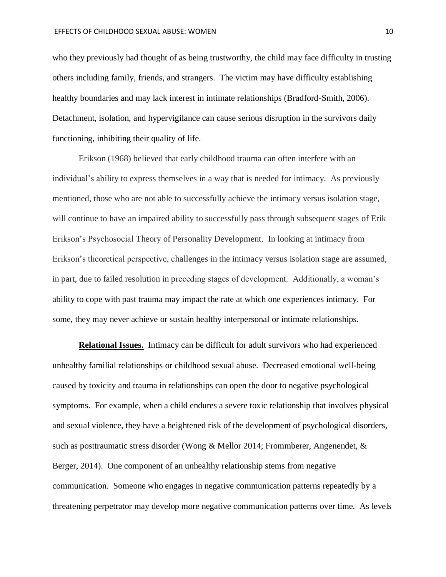who they previously had thought of as being trustworthy, the child may face difficulty in trusting others including family, friends, and strangers. The victim may have difficulty establishing healthy boundaries and may lack interest in intimate relationships (Bradford-Smith, 2006). Detachment, isolation, and hypervigilance can cause serious disruption in the survivors daily functioning, inhibiting their quality of life.

Erikson (1968) believed that early childhood trauma can often interfere with an individual's ability to express themselves in a way that is needed for intimacy. As previously mentioned, those who are not able to successfully achieve the intimacy versus isolation stage, will continue to have an impaired ability to successfully pass through subsequent stages of Erik Erikson's Psychosocial Theory of Personality Development. In looking at intimacy from Erikson's theoretical perspective, challenges in the intimacy versus isolation stage are assumed, in part, due to failed resolution in preceding stages of development. Additionally, a woman's ability to cope with past trauma may impact the rate at which one experiences intimacy. For some, they may never achieve or sustain healthy interpersonal or intimate relationships.

**Relational Issues.** Intimacy can be difficult for adult survivors who had experienced unhealthy familial relationships or childhood sexual abuse. Decreased emotional well-being caused by toxicity and trauma in relationships can open the door to negative psychological symptoms. For example, when a child endures a severe toxic relationship that involves physical and sexual violence, they have a heightened risk of the development of psychological disorders, such as posttraumatic stress disorder (Wong & Mellor 2014; Frommberer, Angenendet, & Berger, 2014). One component of an unhealthy relationship stems from negative communication. Someone who engages in negative communication patterns repeatedly by a threatening perpetrator may develop more negative communication patterns over time. As levels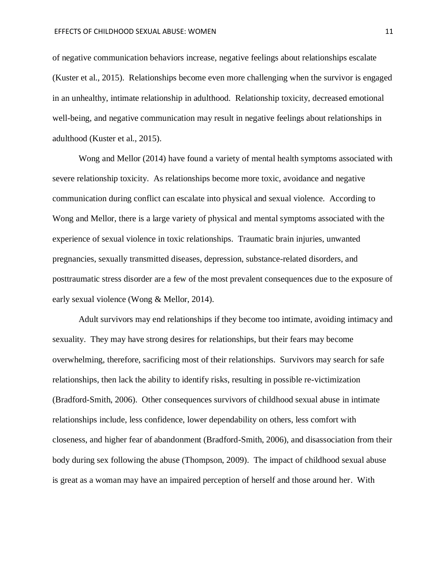of negative communication behaviors increase, negative feelings about relationships escalate (Kuster et al., 2015). Relationships become even more challenging when the survivor is engaged in an unhealthy, intimate relationship in adulthood. Relationship toxicity, decreased emotional well-being, and negative communication may result in negative feelings about relationships in adulthood (Kuster et al., 2015).

Wong and Mellor (2014) have found a variety of mental health symptoms associated with severe relationship toxicity. As relationships become more toxic, avoidance and negative communication during conflict can escalate into physical and sexual violence. According to Wong and Mellor, there is a large variety of physical and mental symptoms associated with the experience of sexual violence in toxic relationships. Traumatic brain injuries, unwanted pregnancies, sexually transmitted diseases, depression, substance-related disorders, and posttraumatic stress disorder are a few of the most prevalent consequences due to the exposure of early sexual violence (Wong & Mellor, 2014).

Adult survivors may end relationships if they become too intimate, avoiding intimacy and sexuality. They may have strong desires for relationships, but their fears may become overwhelming, therefore, sacrificing most of their relationships. Survivors may search for safe relationships, then lack the ability to identify risks, resulting in possible re-victimization (Bradford-Smith, 2006). Other consequences survivors of childhood sexual abuse in intimate relationships include, less confidence, lower dependability on others, less comfort with closeness, and higher fear of abandonment (Bradford-Smith, 2006), and disassociation from their body during sex following the abuse (Thompson, 2009). The impact of childhood sexual abuse is great as a woman may have an impaired perception of herself and those around her. With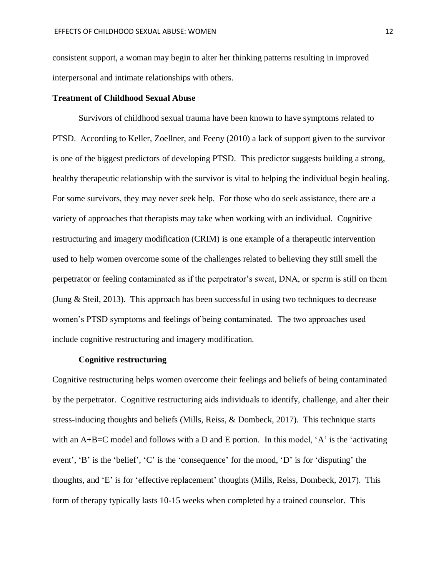consistent support, a woman may begin to alter her thinking patterns resulting in improved interpersonal and intimate relationships with others.

#### **Treatment of Childhood Sexual Abuse**

Survivors of childhood sexual trauma have been known to have symptoms related to PTSD. According to Keller, Zoellner, and Feeny (2010) a lack of support given to the survivor is one of the biggest predictors of developing PTSD. This predictor suggests building a strong, healthy therapeutic relationship with the survivor is vital to helping the individual begin healing. For some survivors, they may never seek help. For those who do seek assistance, there are a variety of approaches that therapists may take when working with an individual. Cognitive restructuring and imagery modification (CRIM) is one example of a therapeutic intervention used to help women overcome some of the challenges related to believing they still smell the perpetrator or feeling contaminated as if the perpetrator's sweat, DNA, or sperm is still on them (Jung & Steil, 2013). This approach has been successful in using two techniques to decrease women's PTSD symptoms and feelings of being contaminated. The two approaches used include cognitive restructuring and imagery modification.

#### **Cognitive restructuring**

Cognitive restructuring helps women overcome their feelings and beliefs of being contaminated by the perpetrator. Cognitive restructuring aids individuals to identify, challenge, and alter their stress-inducing thoughts and beliefs (Mills, Reiss, & Dombeck, 2017). This technique starts with an  $A+B=C$  model and follows with a D and E portion. In this model, 'A' is the 'activating event', 'B' is the 'belief', 'C' is the 'consequence' for the mood, 'D' is for 'disputing' the thoughts, and 'E' is for 'effective replacement' thoughts (Mills, Reiss, Dombeck, 2017). This form of therapy typically lasts 10-15 weeks when completed by a trained counselor. This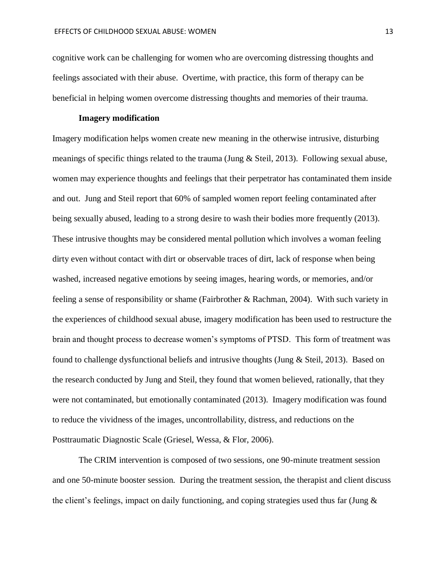cognitive work can be challenging for women who are overcoming distressing thoughts and feelings associated with their abuse. Overtime, with practice, this form of therapy can be beneficial in helping women overcome distressing thoughts and memories of their trauma.

#### **Imagery modification**

Imagery modification helps women create new meaning in the otherwise intrusive, disturbing meanings of specific things related to the trauma (Jung & Steil, 2013). Following sexual abuse, women may experience thoughts and feelings that their perpetrator has contaminated them inside and out. Jung and Steil report that 60% of sampled women report feeling contaminated after being sexually abused, leading to a strong desire to wash their bodies more frequently (2013). These intrusive thoughts may be considered mental pollution which involves a woman feeling dirty even without contact with dirt or observable traces of dirt, lack of response when being washed, increased negative emotions by seeing images, hearing words, or memories, and/or feeling a sense of responsibility or shame (Fairbrother & Rachman, 2004). With such variety in the experiences of childhood sexual abuse, imagery modification has been used to restructure the brain and thought process to decrease women's symptoms of PTSD. This form of treatment was found to challenge dysfunctional beliefs and intrusive thoughts (Jung & Steil, 2013). Based on the research conducted by Jung and Steil, they found that women believed, rationally, that they were not contaminated, but emotionally contaminated (2013). Imagery modification was found to reduce the vividness of the images, uncontrollability, distress, and reductions on the Posttraumatic Diagnostic Scale (Griesel, Wessa, & Flor, 2006).

The CRIM intervention is composed of two sessions, one 90-minute treatment session and one 50-minute booster session. During the treatment session, the therapist and client discuss the client's feelings, impact on daily functioning, and coping strategies used thus far (Jung &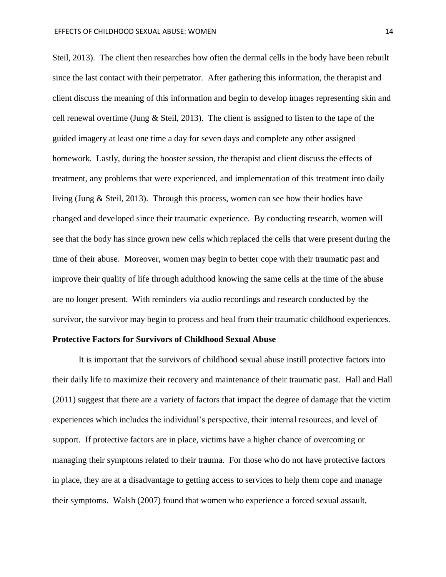Steil, 2013). The client then researches how often the dermal cells in the body have been rebuilt since the last contact with their perpetrator. After gathering this information, the therapist and client discuss the meaning of this information and begin to develop images representing skin and cell renewal overtime (Jung & Steil, 2013). The client is assigned to listen to the tape of the guided imagery at least one time a day for seven days and complete any other assigned homework. Lastly, during the booster session, the therapist and client discuss the effects of treatment, any problems that were experienced, and implementation of this treatment into daily living (Jung & Steil, 2013). Through this process, women can see how their bodies have changed and developed since their traumatic experience. By conducting research, women will see that the body has since grown new cells which replaced the cells that were present during the time of their abuse. Moreover, women may begin to better cope with their traumatic past and improve their quality of life through adulthood knowing the same cells at the time of the abuse are no longer present. With reminders via audio recordings and research conducted by the survivor, the survivor may begin to process and heal from their traumatic childhood experiences.

#### **Protective Factors for Survivors of Childhood Sexual Abuse**

It is important that the survivors of childhood sexual abuse instill protective factors into their daily life to maximize their recovery and maintenance of their traumatic past. Hall and Hall (2011) suggest that there are a variety of factors that impact the degree of damage that the victim experiences which includes the individual's perspective, their internal resources, and level of support. If protective factors are in place, victims have a higher chance of overcoming or managing their symptoms related to their trauma. For those who do not have protective factors in place, they are at a disadvantage to getting access to services to help them cope and manage their symptoms. Walsh (2007) found that women who experience a forced sexual assault,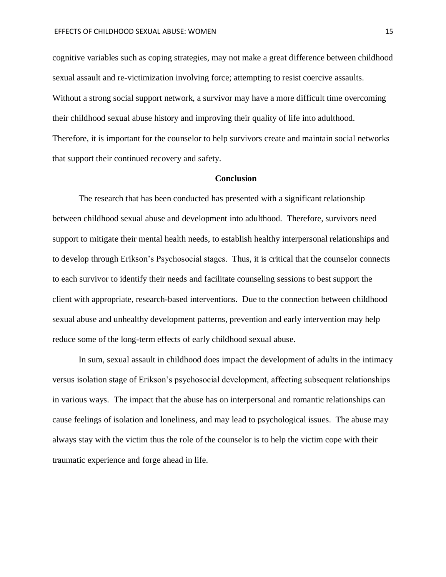cognitive variables such as coping strategies, may not make a great difference between childhood sexual assault and re-victimization involving force; attempting to resist coercive assaults. Without a strong social support network, a survivor may have a more difficult time overcoming their childhood sexual abuse history and improving their quality of life into adulthood. Therefore, it is important for the counselor to help survivors create and maintain social networks that support their continued recovery and safety.

#### **Conclusion**

The research that has been conducted has presented with a significant relationship between childhood sexual abuse and development into adulthood. Therefore, survivors need support to mitigate their mental health needs, to establish healthy interpersonal relationships and to develop through Erikson's Psychosocial stages. Thus, it is critical that the counselor connects to each survivor to identify their needs and facilitate counseling sessions to best support the client with appropriate, research-based interventions. Due to the connection between childhood sexual abuse and unhealthy development patterns, prevention and early intervention may help reduce some of the long-term effects of early childhood sexual abuse.

In sum, sexual assault in childhood does impact the development of adults in the intimacy versus isolation stage of Erikson's psychosocial development, affecting subsequent relationships in various ways. The impact that the abuse has on interpersonal and romantic relationships can cause feelings of isolation and loneliness, and may lead to psychological issues. The abuse may always stay with the victim thus the role of the counselor is to help the victim cope with their traumatic experience and forge ahead in life.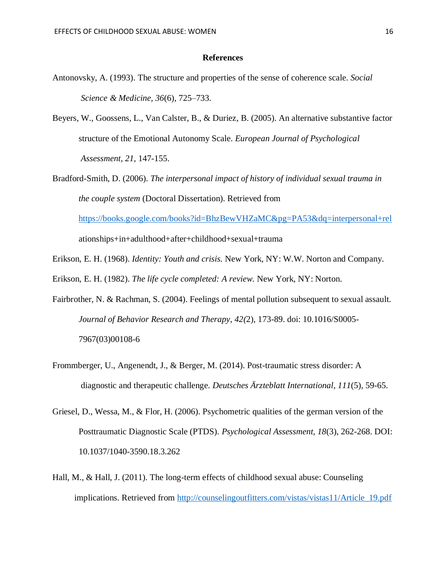#### **References**

- Antonovsky, A. (1993). The structure and properties of the sense of coherence scale. *Social Science & Medicine, 36*(6), 725–733.
- Beyers, W., Goossens, L., Van Calster, B., & Duriez, B. (2005). An alternative substantive factor structure of the Emotional Autonomy Scale. *European Journal of Psychological Assessment, 21,* 147-155.
- Bradford-Smith, D. (2006). *The interpersonal impact of history of individual sexual trauma in the couple system* (Doctoral Dissertation). Retrieved from <https://books.google.com/books?id=BhzBewVHZaMC&pg=PA53&dq=interpersonal+rel> ationships+in+adulthood+after+childhood+sexual+trauma
- Erikson, E. H. (1968). *Identity: Youth and crisis.* New York, NY: W.W. Norton and Company.
- Erikson, E. H. (1982). *The life cycle completed: A review.* New York, NY: Norton.
- Fairbrother, N. & Rachman, S. (2004). Feelings of mental pollution subsequent to sexual assault. *Journal of Behavior Research and Therapy, 42(*2), 173-89. doi: [10.1016/S0005-](https://doi.org/10.1016/S0005-7967(03)00108-6) [7967\(03\)00108-6](https://doi.org/10.1016/S0005-7967(03)00108-6)
- Frommberger, U., Angenendt, J., & Berger, M. (2014). Post-traumatic stress disorder: A diagnostic and therapeutic challenge. *Deutsches Ärzteblatt International*, *111*(5), 59-65.
- Griesel, D., Wessa, M., & Flor, H. (2006). Psychometric qualities of the german version of the Posttraumatic Diagnostic Scale (PTDS). *Psychological Assessment, 18*(3), 262-268. DOI: [10.1037/1040-3590.18.3.262](https://doi.org/10.1037/1040-3590.18.3.262)
- Hall, M., & Hall, J. (2011). The long-term effects of childhood sexual abuse: Counseling implications. Retrieved from [http://counselingoutfitters.com/vistas/vistas11/Article\\_19.pdf](http://counselingoutfitters.com/vistas/vistas11/Article_19.pdf)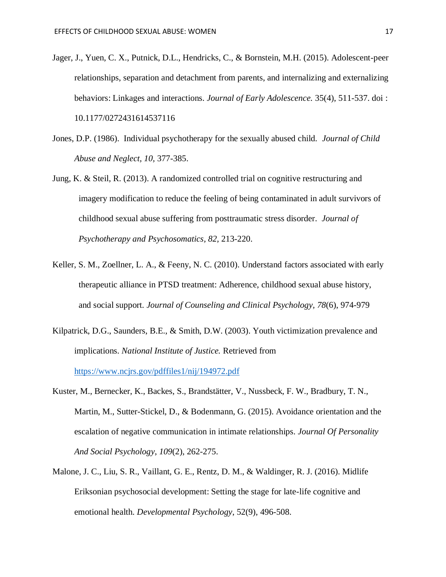- Jager, J., Yuen, C. X., Putnick, D.L., Hendricks, C., & Bornstein, M.H. (2015). Adolescent-peer relationships, separation and detachment from parents, and internalizing and externalizing behaviors: Linkages and interactions. *Journal of Early Adolescence.* 35(4), 511-537. doi : 10.1177/0272431614537116
- Jones, D.P. (1986). Individual psychotherapy for the sexually abused child. *Journal of Child Abuse and Neglect, 10,* 377-385.
- Jung, K. & Steil, R. (2013). A randomized controlled trial on cognitive restructuring and imagery modification to reduce the feeling of being contaminated in adult survivors of childhood sexual abuse suffering from posttraumatic stress disorder. *Journal of Psychotherapy and Psychosomatics, 82,* 213-220.
- Keller, S. M., Zoellner, L. A., & Feeny, N. C. (2010). Understand factors associated with early therapeutic alliance in PTSD treatment: Adherence, childhood sexual abuse history, and social support. *Journal of Counseling and Clinical Psychology, 78*(6), 974-979
- Kilpatrick, D.G., Saunders, B.E., & Smith, D.W. (2003). Youth victimization prevalence and implications. *National Institute of Justice.* Retrieved from <https://www.ncjrs.gov/pdffiles1/nij/194972.pdf>
- Kuster, M., Bernecker, K., Backes, S., Brandstätter, V., Nussbeck, F. W., Bradbury, T. N., Martin, M., Sutter-Stickel, D., & Bodenmann, G. (2015). Avoidance orientation and the escalation of negative communication in intimate relationships. *Journal Of Personality And Social Psychology*, *109*(2), 262-275.
- Malone, J. C., Liu, S. R., Vaillant, G. E., Rentz, D. M., & Waldinger, R. J. (2016). Midlife Eriksonian psychosocial development: Setting the stage for late-life cognitive and emotional health. *Developmental Psychology*, 52(9), 496-508.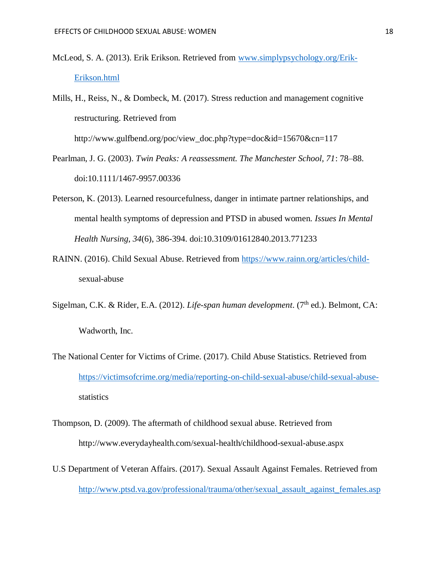- McLeod, S. A. (2013). Erik Erikson. Retrieved from [www.simplypsychology.org/Erik-](http://www.simplypsychology.org/Erik-Erikson.html)[Erikson.html](http://www.simplypsychology.org/Erik-Erikson.html)
- Mills, H., Reiss, N., & Dombeck, M. (2017). Stress reduction and management cognitive restructuring. Retrieved from

http://www.gulfbend.org/poc/view\_doc.php?type=doc&id=15670&cn=117

- Pearlman, J. G. (2003). *Twin Peaks: A reassessment. The Manchester School, 71*: 78–88. doi:10.1111/1467-9957.00336
- Peterson, K. (2013). Learned resourcefulness, danger in intimate partner relationships, and mental health symptoms of depression and PTSD in abused women. *Issues In Mental Health Nursing*, *34*(6), 386-394. doi:10.3109/01612840.2013.771233
- RAINN. (2016). Child Sexual Abuse. Retrieved from [https://www.rainn.org/articles/child](https://www.rainn.org/articles/child-)sexual-abuse
- Sigelman, C.K. & Rider, E.A. (2012). *Life-span human development*. (7<sup>th</sup> ed.). Belmont, CA: Wadworth, Inc.
- The National Center for Victims of Crime. (2017). Child Abuse Statistics. Retrieved from [https://victimsofcrime.org/media/reporting-on-child-sexual-abuse/child-sexual-abuse](https://victimsofcrime.org/media/reporting-on-child-sexual-abuse/child-sexual-abuse-)statistics
- Thompson, D. (2009). The aftermath of childhood sexual abuse. Retrieved from http://www.everydayhealth.com/sexual-health/childhood-sexual-abuse.aspx
- U.S Department of Veteran Affairs. (2017). Sexual Assault Against Females. Retrieved from [http://www.ptsd.va.gov/professional/trauma/other/sexual\\_assault\\_against\\_females.asp](http://www.ptsd.va.gov/professional/trauma/other/sexual_assault_against_females.asp)